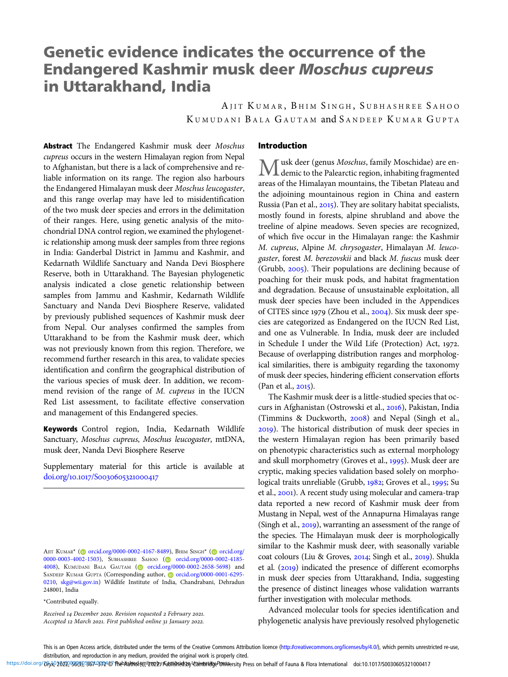# Genetic evidence indicates the occurrence of the Endangered Kashmir musk deer Moschus cupreus in Uttarakhand, India

AJIT KUMAR, BHIM SINGH, SUBHASHREE SAHOO KUMUDANI BALA GAUTAM and SANDEEP KUMAR GUPTA

Abstract The Endangered Kashmir musk deer Moschus cupreus occurs in the western Himalayan region from Nepal to Afghanistan, but there is a lack of comprehensive and reliable information on its range. The region also harbours the Endangered Himalayan musk deer Moschus leucogaster, and this range overlap may have led to misidentification of the two musk deer species and errors in the delimitation of their ranges. Here, using genetic analysis of the mitochondrial DNA control region, we examined the phylogenetic relationship among musk deer samples from three regions in India: Ganderbal District in Jammu and Kashmir, and Kedarnath Wildlife Sanctuary and Nanda Devi Biosphere Reserve, both in Uttarakhand. The Bayesian phylogenetic analysis indicated a close genetic relationship between samples from Jammu and Kashmir, Kedarnath Wildlife Sanctuary and Nanda Devi Biosphere Reserve, validated by previously published sequences of Kashmir musk deer from Nepal. Our analyses confirmed the samples from Uttarakhand to be from the Kashmir musk deer, which was not previously known from this region. Therefore, we recommend further research in this area, to validate species identification and confirm the geographical distribution of the various species of musk deer. In addition, we recommend revision of the range of M. cupreus in the IUCN Red List assessment, to facilitate effective conservation and management of this Endangered species.

Keywords Control region, India, Kedarnath Wildlife Sanctuary, Moschus cupreus, Moschus leucogaster, mtDNA, musk deer, Nanda Devi Biosphere Reserve

Supplementary material for this article is available at doi.org/10.1017/S0030605321000417

#### \*Contributed equally.

Received 14 December 2020. Revision requested 2 February 2021. Accepted 12 March 2021. First published online 31 January 2022.

# Introduction

Musk deer (genus Moschus, family Moschidae) are en-demic to the Palearctic region, inhabiting fragmented areas of the Himalayan mountains, the Tibetan Plateau and the adjoining mountainous region in China and eastern Russia (Pan et al., 2015). They are solitary habitat specialists, mostly found in forests, alpine shrubland and above the treeline of alpine meadows. Seven species are recognized, of which five occur in the Himalayan range: the Kashmir M. cupreus, Alpine M. chrysogaster, Himalayan M. leucogaster, forest M. berezovskii and black M. fuscus musk deer (Grubb, 2005). Their populations are declining because of poaching for their musk pods, and habitat fragmentation and degradation. Because of unsustainable exploitation, all musk deer species have been included in the Appendices of CITES since 1979 (Zhou et al., 2004). Six musk deer species are categorized as Endangered on the IUCN Red List, and one as Vulnerable. In India, musk deer are included in Schedule I under the Wild Life (Protection) Act,  $1972$ . Because of overlapping distribution ranges and morphological similarities, there is ambiguity regarding the taxonomy of musk deer species, hindering efficient conservation efforts (Pan et al., 2015).

The Kashmir musk deer is a little-studied species that occurs in Afghanistan (Ostrowski et al., 2016), Pakistan, India (Timmins & Duckworth,  $2008$ ) and Nepal (Singh et al., ). The historical distribution of musk deer species in the western Himalayan region has been primarily based on phenotypic characteristics such as external morphology and skull morphometry (Groves et al., 1995). Musk deer are cryptic, making species validation based solely on morphological traits unreliable (Grubb, 1982; Groves et al., 1995; Su et al., 2001). A recent study using molecular and camera-trap data reported a new record of Kashmir musk deer from Mustang in Nepal, west of the Annapurna Himalayas range (Singh et al.,  $2019$ ), warranting an assessment of the range of the species. The Himalayan musk deer is morphologically similar to the Kashmir musk deer, with seasonally variable coat colours (Liu & Groves, 2014; Singh et al., 2019). Shukla et al.  $(2019)$  indicated the presence of different ecomorphs in musk deer species from Uttarakhand, India, suggesting the presence of distinct lineages whose validation warrants further investigation with molecular methods.

Advanced molecular tools for species identification and phylogenetic analysis have previously resolved phylogenetic

https://doi.org/byx202295809)58749724@ RuebAelned @pl2022y Ruan headded device PunkFersity Press on behalf of Fauna & Flora International doi:10.1017/50030605321000417

AJIT KUMAR\* [\(](https://orcid.org) [orcid.org/0000-0002-4167-8489](https://orcid.org/0000-0002-4167-8489)), BHIM SINGH\* ( [orcid.org/](https://orcid.org/0000-0003-4002-1503) [0000-0003-4002-1503\)](https://orcid.org/0000-0003-4002-1503), SUBHASHREE SAHOO (@ [orcid.org/0000-0002-4185-](https://orcid.org/0000-0002-4185-4008) [4008](https://orcid.org/0000-0002-4185-4008)), KUMUDANI BALA GAUTAM [\(](https://orcid.org)@ [orcid.org/0000-0002-2658-5698\)](https://orcid.org/0000-0002-2658-5698) and SANDEEP KUMAR GUPTA (Corresponding author, @ [orcid.org/0000-0001-6295-](https://orcid.org/0000-0001-6295-0210) [0210](https://orcid.org/0000-0001-6295-0210), [skg@wii.gov.in\)](mailto:skg@wii.gov.in) Wildlife Institute of India, Chandrabani, Dehradun 248001, India

This is an Open Access article, distributed under the terms of the Creative Commons Attribution licence (<http://creativecommons.org/licenses/by/4.0/>), which permits unrestricted re-use, distribution, and reproduction in any medium, provided the original work is properly cited.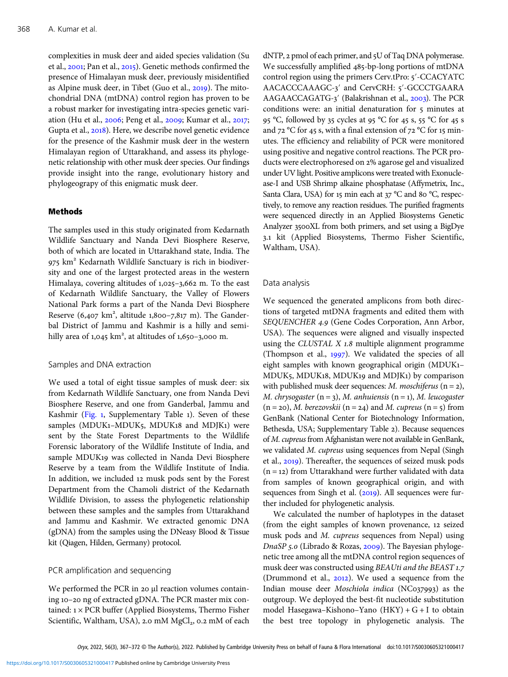complexities in musk deer and aided species validation (Su et al., 2001; Pan et al., 2015). Genetic methods confirmed the presence of Himalayan musk deer, previously misidentified as Alpine musk deer, in Tibet (Guo et al.,  $2019$ ). The mitochondrial DNA (mtDNA) control region has proven to be a robust marker for investigating intra-species genetic variation (Hu et al., 2006; Peng et al., 2009; Kumar et al., 2017; Gupta et al., 2018). Here, we describe novel genetic evidence for the presence of the Kashmir musk deer in the western Himalayan region of Uttarakhand, and assess its phylogenetic relationship with other musk deer species. Our findings provide insight into the range, evolutionary history and phylogeograpy of this enigmatic musk deer.

# Methods

The samples used in this study originated from Kedarnath Wildlife Sanctuary and Nanda Devi Biosphere Reserve, both of which are located in Uttarakhand state, India. The  $975$  km<sup>2</sup> Kedarnath Wildlife Sanctuary is rich in biodiversity and one of the largest protected areas in the western Himalaya, covering altitudes of 1,025-3,662 m. To the east of Kedarnath Wildlife Sanctuary, the Valley of Flowers National Park forms a part of the Nanda Devi Biosphere Reserve  $(6,407 \text{ km}^2, \text{ altitude } 1,800-7,817 \text{ m})$ . The Ganderbal District of Jammu and Kashmir is a hilly and semihilly area of 1,045  $km^2$ , at altitudes of 1,650–3,000 m.

# Samples and DNA extraction

We used a total of eight tissue samples of musk deer: six from Kedarnath Wildlife Sanctuary, one from Nanda Devi Biosphere Reserve, and one from Ganderbal, Jammu and Kashmir ([Fig.](#page-2-0) 1, Supplementary Table 1). Seven of these samples (MDUK1-MDUK5, MDUK18 and MDJK1) were sent by the State Forest Departments to the Wildlife Forensic laboratory of the Wildlife Institute of India, and sample MDUK19 was collected in Nanda Devi Biosphere Reserve by a team from the Wildlife Institute of India. In addition, we included 12 musk pods sent by the Forest Department from the Chamoli district of the Kedarnath Wildlife Division, to assess the phylogenetic relationship between these samples and the samples from Uttarakhand and Jammu and Kashmir. We extracted genomic DNA (gDNA) from the samples using the DNeasy Blood & Tissue kit (Qiagen, Hilden, Germany) protocol.

# PCR amplification and sequencing

We performed the PCR in 20 μl reaction volumes containing 10-20 ng of extracted gDNA. The PCR master mix contained:  $1 \times PCR$  buffer (Applied Biosystems, Thermo Fisher Scientific, Waltham, USA), 2.0 mM  $MgCl<sub>2</sub>$ , 0.2 mM of each dNTP, 2 pmol of each primer, and 5U of Taq DNA polymerase. We successfully amplified 485-bp-long portions of mtDNA control region using the primers Cerv.tPro: 5'-CCACYATC AACACCCAAAGC-3' and CervCRH: 5'-GCCCTGAARA AAGAACCAGATG-3' (Balakrishnan et al., 2003). The PCR conditions were: an initial denaturation for 5 minutes at 95 °C, followed by 35 cycles at 95 °C for 45 s, 55 °C for 45 s and  $72^{\circ}$ C for 45 s, with a final extension of  $72^{\circ}$ C for 15 minutes. The efficiency and reliability of PCR were monitored using positive and negative control reactions. The PCR products were electrophoresed on 2% agarose gel and visualized under UV light. Positive amplicons were treated with Exonuclease-I and USB Shrimp alkaine phosphatase (Affymetrix, Inc., Santa Clara, USA) for 15 min each at  $37^{\circ}$ C and 80 °C, respectively, to remove any reaction residues. The purified fragments were sequenced directly in an Applied Biosystems Genetic Analyzer 3500XL from both primers, and set using a BigDye . kit (Applied Biosystems, Thermo Fisher Scientific, Waltham, USA).

### Data analysis

We sequenced the generated amplicons from both directions of targeted mtDNA fragments and edited them with SEQUENCHER 4.9 (Gene Codes Corporation, Ann Arbor, USA). The sequences were aligned and visually inspected using the CLUSTAL  $X$  1.8 multiple alignment programme (Thompson et al., 1997). We validated the species of all eight samples with known geographical origin (MDUK– MDUK5, MDUK18, MDUK19 and MDJK1) by comparison with published musk deer sequences:  $M$ . moschiferus (n = 2), M. chrysogaster  $(n = 3)$ , M. anhuiensis  $(n = 1)$ , M. leucogaster  $(n = 20)$ , *M. berezovskii*  $(n = 24)$  and *M. cupreus*  $(n = 5)$  from GenBank (National Center for Biotechnology Information, Bethesda, USA; Supplementary Table 2). Because sequences of M. cupreus from Afghanistan were not available in GenBank, we validated M. cupreus using sequences from Nepal (Singh et al., 2019). Thereafter, the sequences of seized musk pods  $(n = 12)$  from Uttarakhand were further validated with data from samples of known geographical origin, and with sequences from Singh et al.  $(2019)$ . All sequences were further included for phylogenetic analysis.

We calculated the number of haplotypes in the dataset (from the eight samples of known provenance, 12 seized musk pods and M. cupreus sequences from Nepal) using DnaSP 5.0 (Librado & Rozas, 2009). The Bayesian phylogenetic tree among all the mtDNA control region sequences of musk deer was constructed using BEAUti and the BEAST 1.7 (Drummond et al.,  $2012$ ). We used a sequence from the Indian mouse deer Moschiola indica (NC037993) as the outgroup. We deployed the best-fit nucleotide substitution model Hasegawa–Kishono–Yano (HKY) + G + I to obtain the best tree topology in phylogenetic analysis. The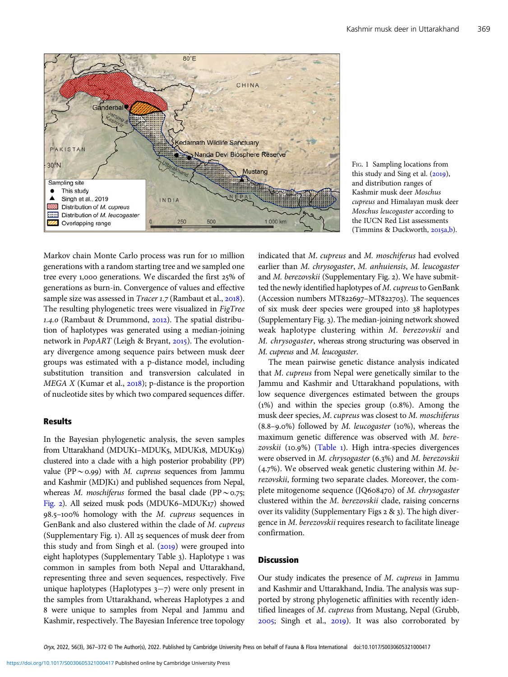<span id="page-2-0"></span>



Markov chain Monte Carlo process was run for 10 million generations with a random starting tree and we sampled one tree every 1,000 generations. We discarded the first 25% of generations as burn-in. Convergence of values and effective sample size was assessed in *Tracer 1.7* (Rambaut et al., 2018). The resulting phylogenetic trees were visualized in FigTree 1.4.0 (Rambaut & Drummond,  $2012$ ). The spatial distribution of haplotypes was generated using a median-joining network in PopART (Leigh & Bryant, 2015). The evolutionary divergence among sequence pairs between musk deer groups was estimated with a p-distance model, including substitution transition and transversion calculated in  $MEGA$  X (Kumar et al., 2018); p-distance is the proportion of nucleotide sites by which two compared sequences differ.

# **Results**

In the Bayesian phylogenetic analysis, the seven samples from Uttarakhand (MDUK1-MDUK5, MDUK18, MDUK19) clustered into a clade with a high posterior probability (PP) value (PP $\sim$ 0.99) with M. cupreus sequences from Jammu and Kashmir (MDJK) and published sequences from Nepal, whereas M. moschiferus formed the basal clade (PP ~ 0.75; [Fig.](#page-3-0) 2). All seized musk pods (MDUK6-MDUK17) showed 98.5-100% homology with the M. cupreus sequences in GenBank and also clustered within the clade of M. cupreus (Supplementary Fig. 1). All 25 sequences of musk deer from this study and from Singh et al.  $(2019)$  were grouped into eight haplotypes (Supplementary Table 3). Haplotype 1 was common in samples from both Nepal and Uttarakhand, representing three and seven sequences, respectively. Five unique haplotypes (Haplotypes  $3-7$ ) were only present in the samples from Uttarakhand, whereas Haplotypes 2 and were unique to samples from Nepal and Jammu and Kashmir, respectively. The Bayesian Inference tree topology indicated that M. cupreus and M. moschiferus had evolved earlier than M. chrysogaster, M. anhuiensis, M. leucogaster and  $M$ . berezovskii (Supplementary Fig. 2). We have submitted the newly identified haplotypes of M. cupreus to GenBank (Accession numbers MT822697-MT822703). The sequences of six musk deer species were grouped into 38 haplotypes (Supplementary Fig.). The median-joining network showed weak haplotype clustering within M. berezovskii and M. chrysogaster, whereas strong structuring was observed in M. cupreus and M. leucogaster.

The mean pairwise genetic distance analysis indicated that M. cupreus from Nepal were genetically similar to the Jammu and Kashmir and Uttarakhand populations, with low sequence divergences estimated between the groups  $(1%)$  and within the species group  $(0.8%)$ . Among the musk deer species, M. cupreus was closest to M. moschiferus  $(8.8-9.0\%)$  followed by *M. leucogaster* (10%), whereas the maximum genetic difference was observed with M. bere $zovskii$  (10.9%) [\(Table](#page-3-0) 1). High intra-species divergences were observed in  $M$ . chrysogaster (6.3%) and  $M$ . berezovskii  $(4.7\%)$ . We observed weak genetic clustering within *M. be*rezovskii, forming two separate clades. Moreover, the complete mitogenome sequence (JQ608470) of  $M$ . chrysogaster clustered within the M. berezovskii clade, raising concerns over its validity (Supplementary Figs  $2 \& 3$ ). The high divergence in M. berezovskii requires research to facilitate lineage confirmation.

#### Discussion

Our study indicates the presence of M. cupreus in Jammu and Kashmir and Uttarakhand, India. The analysis was supported by strong phylogenetic affinities with recently identified lineages of M. cupreus from Mustang, Nepal (Grubb,  $2005$ ; Singh et al.,  $2019$ ). It was also corroborated by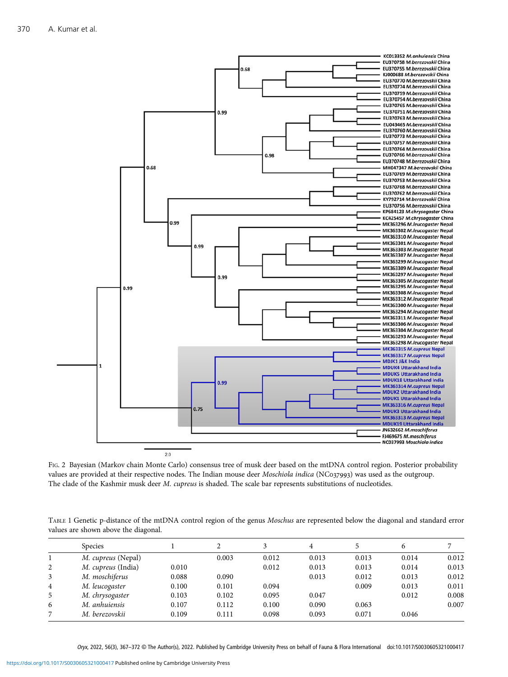<span id="page-3-0"></span>

FIG. 2 Bayesian (Markov chain Monte Carlo) consensus tree of musk deer based on the mtDNA control region. Posterior probability values are provided at their respective nodes. The Indian mouse deer Moschiola indica (NC037993) was used as the outgroup. The clade of the Kashmir musk deer M. cupreus is shaded. The scale bar represents substitutions of nucleotides.

TABLE 1 Genetic p-distance of the mtDNA control region of the genus Moschus are represented below the diagonal and standard error values are shown above the diagonal.

|   | <b>Species</b>     |       |       |       | 4     |       | 6     |       |
|---|--------------------|-------|-------|-------|-------|-------|-------|-------|
|   | M. cupreus (Nepal) |       | 0.003 | 0.012 | 0.013 | 0.013 | 0.014 | 0.012 |
| 2 | M. cupreus (India) | 0.010 |       | 0.012 | 0.013 | 0.013 | 0.014 | 0.013 |
| 3 | M. moschiferus     | 0.088 | 0.090 |       | 0.013 | 0.012 | 0.013 | 0.012 |
| 4 | M. leucogaster     | 0.100 | 0.101 | 0.094 |       | 0.009 | 0.013 | 0.011 |
| 5 | M. chrysogaster    | 0.103 | 0.102 | 0.095 | 0.047 |       | 0.012 | 0.008 |
| 6 | M. anhuiensis      | 0.107 | 0.112 | 0.100 | 0.090 | 0.063 |       | 0.007 |
|   | M. berezovskii     | 0.109 | 0.111 | 0.098 | 0.093 | 0.071 | 0.046 |       |

 $O<sub>Y</sub>*x*, 2022, 56(3), 367–372  $\odot$  The Author(s), 2022. Published by Cambridge University Press on behalf of Fauna & Flora International doi:10.1017/S0030605321000417$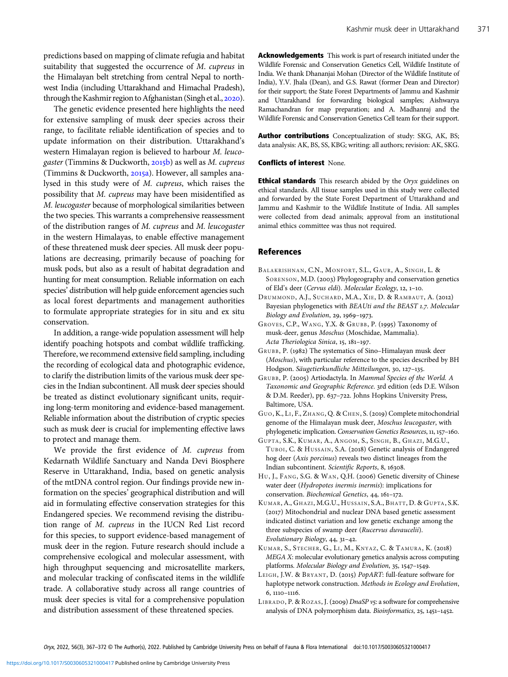<span id="page-4-0"></span>predictions based on mapping of climate refugia and habitat suitability that suggested the occurrence of M. cupreus in the Himalayan belt stretching from central Nepal to northwest India (including Uttarakhand and Himachal Pradesh), through the Kashmir region to Afghanistan (Singh et al., 2020).

The genetic evidence presented here highlights the need for extensive sampling of musk deer species across their range, to facilitate reliable identification of species and to update information on their distribution. Uttarakhand's western Himalayan region is believed to harbour M. leucogaster (Timmins & Duckworth,  $2015b$ ) as well as M. cupreus (Timmins & Duckworth, 2015a). However, all samples analysed in this study were of M. cupreus, which raises the possibility that M. cupreus may have been misidentified as M. leucogaster because of morphological similarities between the two species. This warrants a comprehensive reassessment of the distribution ranges of M. cupreus and M. leucogaster in the western Himalayas, to enable effective management of these threatened musk deer species. All musk deer populations are decreasing, primarily because of poaching for musk pods, but also as a result of habitat degradation and hunting for meat consumption. Reliable information on each species' distribution will help guide enforcement agencies such as local forest departments and management authorities to formulate appropriate strategies for in situ and ex situ conservation.

In addition, a range-wide population assessment will help identify poaching hotspots and combat wildlife trafficking. Therefore, we recommend extensive field sampling, including the recording of ecological data and photographic evidence, to clarify the distribution limits of the various musk deer species in the Indian subcontinent. All musk deer species should be treated as distinct evolutionary significant units, requiring long-term monitoring and evidence-based management. Reliable information about the distribution of cryptic species such as musk deer is crucial for implementing effective laws to protect and manage them.

We provide the first evidence of M. cupreus from Kedarnath Wildlife Sanctuary and Nanda Devi Biosphere Reserve in Uttarakhand, India, based on genetic analysis of the mtDNA control region. Our findings provide new information on the species' geographical distribution and will aid in formulating effective conservation strategies for this Endangered species. We recommend revising the distribution range of M. cupreus in the IUCN Red List record for this species, to support evidence-based management of musk deer in the region. Future research should include a comprehensive ecological and molecular assessment, with high throughput sequencing and microsatellite markers, and molecular tracking of confiscated items in the wildlife trade. A collaborative study across all range countries of musk deer species is vital for a comprehensive population and distribution assessment of these threatened species.

Acknowledgements This work is part of research initiated under the Wildlife Forensic and Conservation Genetics Cell, Wildlife Institute of India. We thank Dhananjai Mohan (Director of the Wildlife Institute of India), Y.V. Jhala (Dean), and G.S. Rawat (former Dean and Director) for their support; the State Forest Departments of Jammu and Kashmir and Uttarakhand for forwarding biological samples; Aishwarya Ramachandran for map preparation; and A. Madhanraj and the Wildlife Forensic and Conservation Genetics Cell team for their support.

Author contributions Conceptualization of study: SKG, AK, BS; data analysis: AK, BS, SS, KBG; writing: all authors; revision: AK, SKG.

#### Conflicts of interest None.

**Ethical standards** This research abided by the Oryx guidelines on ethical standards. All tissue samples used in this study were collected and forwarded by the State Forest Department of Uttarakhand and Jammu and Kashmir to the Wildlife Institute of India. All samples were collected from dead animals; approval from an institutional animal ethics committee was thus not required.

#### References

- BALAKRISHNAN, C.N., MONFORT, S.L., GAUR, A., SINGH, L. & SORENSON, M.D. (2003) Phylogeography and conservation genetics of Eld's deer (Cervus eldi). Molecular Ecology, 12, 1-10.
- DRUMMOND, A.J., SUCHARD, M.A., XIE, D. & RAMBAUT, A. (2012) Bayesian phylogenetics with BEAUti and the BEAST 1.7. Molecular Biology and Evolution, 29, 1969-1973.
- GROVES, C.P., WANG, Y.X. & GRUBB, P. (1995) Taxonomy of musk-deer, genus Moschus (Moschidae, Mammalia). Acta Theriologica Sinica, 15, 181-197.
- GRUBB, P. (1982) The systematics of Sino-Himalayan musk deer (Moschus), with particular reference to the species described by BH Hodgson. Säugetierkundliche Mitteilungen, 30, 127-135.
- GRUBB, P. (2005) Artiodactyla. In Mammal Species of the World. A Taxonomic and Geographic Reference. 3rd edition (eds D.E. Wilson & D.M. Reeder), pp. 637-722. Johns Hopkins University Press, Baltimore, USA.
- GUO, K., LI, F., ZHANG, Q. & CHEN, S. (2019) Complete mitochondrial genome of the Himalayan musk deer, Moschus leucogaster, with phylogenetic implication. Conservation Genetics Resources, 11, 157-160.
- GUPTA, S.K., KUMAR, A., ANGOM, S., SINGH, B., GHAZI, M.G.U., TUBOI, C. & HUSSAIN, S.A. (2018) Genetic analysis of Endangered hog deer (Axis porcinus) reveals two distinct lineages from the Indian subcontinent. Scientific Reports, 8, 16308.
- HU, J., FANG, S.G. & WAN, Q.H. (2006) Genetic diversity of Chinese water deer (Hydropotes inermis inermis): implications for conservation. Biochemical Genetics, 44, 161-172.
- KUMAR, A., GHAZI, M.G.U., HUSSAIN, S.A., BHATT, D. & GUPTA, S.K. (2017) Mitochondrial and nuclear DNA based genetic assessment indicated distinct variation and low genetic exchange among the three subspecies of swamp deer (Rucervus duvaucelii). Evolutionary Biology,  $44, 31-42$ .
- KUMAR, S., STECHER, G., LI, M., KNYAZ, C. & TAMURA, K. (2018) MEGA X: molecular evolutionary genetics analysis across computing platforms. Molecular Biology and Evolution, 35, 1547-1549.
- LEIGH, J.W. & BRYANT, D. (2015) PopART: full-feature software for haplotype network construction. Methods in Ecology and Evolution,  $6, 1110 - 1116.$
- LIBRADO, P. & ROZAS, J. (2009) DnaSP v5: a software for comprehensive analysis of DNA polymorphism data. Bioinformatics, 25, 1451-1452.